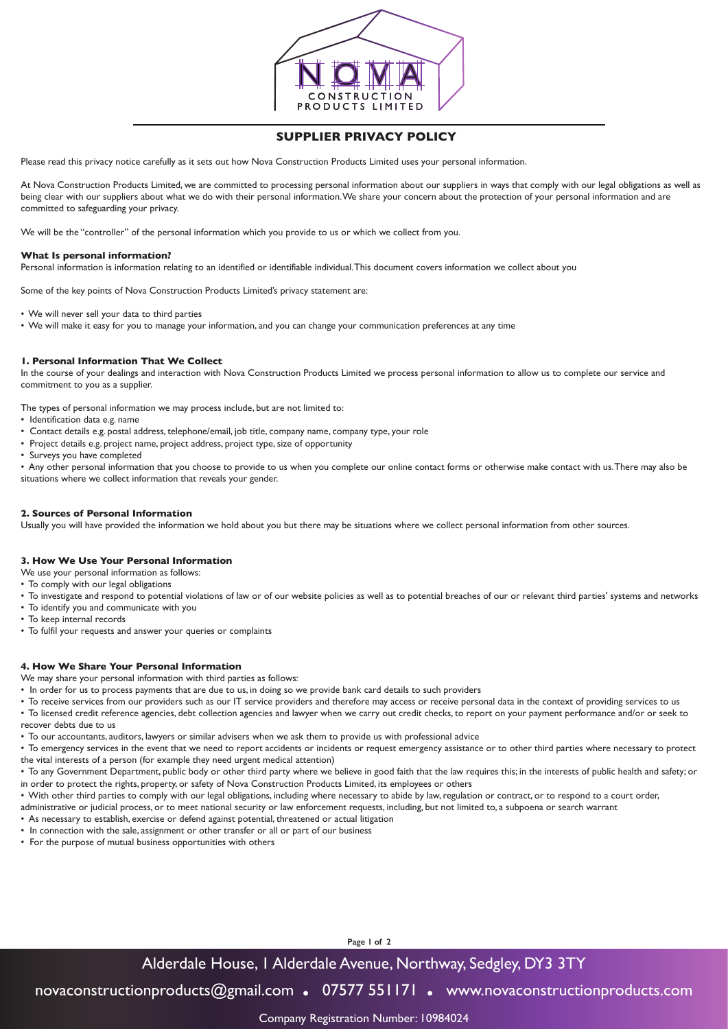

## **SUPPLIER PRIVACY POLICY**

Please read this privacy notice carefully as it sets out how Nova Construction Products Limited uses your personal information.

At Nova Construction Products Limited, we are committed to processing personal information about our suppliers in ways that comply with our legal obligations as well as being clear with our suppliers about what we do with their personal information. We share your concern about the protection of your personal information and are committed to safeguarding your privacy.

We will be the "controller" of the personal information which you provide to us or which we collect from you.

#### **What Is personal information?**

Personal information is information relating to an identified or identifiable individual. This document covers information we collect about you

Some of the key points of Nova Construction Products Limited's privacy statement are:

- We will never sell your data to third parties
- We will make it easy for you to manage your information, and you can change your communication preferences at any time

#### **1. Personal Information That We Collect**

In the course of your dealings and interaction with Nova Construction Products Limited we process personal information to allow us to complete our service and commitment to you as a supplier.

The types of personal information we may process include, but are not limited to:

- Identification data e.g. name
- Contact details e.g. postal address, telephone/email, job title, company name, company type, your role
- Project details e.g. project name, project address, project type, size of opportunity
- Surveys you have completed

• Any other personal information that you choose to provide to us when you complete our online contact forms or otherwise make contact with us. There may also be situations where we collect information that reveals your gender.

#### **2. Sources of Personal Information**

Usually you will have provided the information we hold about you but there may be situations where we collect personal information from other sources.

#### **3. How We Use Your Personal Information**

- We use your personal information as follows:
- To comply with our legal obligations
- To investigate and respond to potential violations of law or of our website policies as well as to potential breaches of our or relevant third parties' systems and networks
- To identify you and communicate with you
- To keep internal records
- To fulfil your requests and answer your queries or complaints

#### **4. How We Share Your Personal Information**

We may share your personal information with third parties as follows:

- In order for us to process payments that are due to us, in doing so we provide bank card details to such providers
- To receive services from our providers such as our IT service providers and therefore may access or receive personal data in the context of providing services to us • To licensed credit reference agencies, debt collection agencies and lawyer when we carry out credit checks, to report on your payment performance and/or or seek to recover debts due to us
- To our accountants, auditors, lawyers or similar advisers when we ask them to provide us with professional advice
- To emergency services in the event that we need to report accidents or incidents or request emergency assistance or to other third parties where necessary to protect the vital interests of a person (for example they need urgent medical attention)
- To any Government Department, public body or other third party where we believe in good faith that the law requires this; in the interests of public health and safety; or in order to protect the rights, property, or safety of Nova Construction Products Limited, its employees or others
- With other third parties to comply with our legal obligations, including where necessary to abide by law, regulation or contract, or to respond to a court order, administrative or judicial process, or to meet national security or law enforcement requests, including, but not limited to, a subpoena or search warrant
- As necessary to establish, exercise or defend against potential, threatened or actual litigation
- In connection with the sale, assignment or other transfer or all or part of our business
- For the purpose of mutual business opportunities with others

**Page 1 of 2**

# Alderdale House, 1 Alderdale Avenue, Northway, Sedgley, DY3 3TY

novaconstructionproducts@gmail.com **.** 07577 551171 **.** www.novaconstructionproducts.com